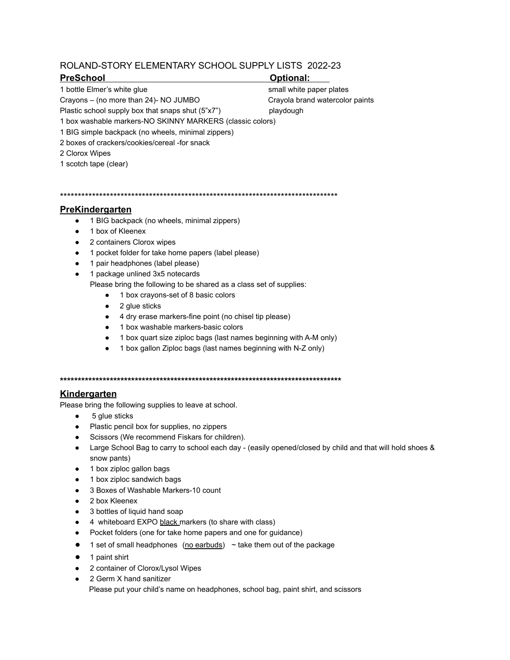# ROLAND-STORY ELEMENTARY SCHOOL SUPPLY LISTS 2022-23

## **PreSchool Optional:**

1 bottle Elmer's white glue small white paper plates

Plastic school supply box that snaps shut (5"x7") playdough

Crayons – (no more than 24)- NO JUMBO Crayola brand watercolor paints

1 box washable markers-NO SKINNY MARKERS (classic colors)

1 BIG simple backpack (no wheels, minimal zippers)

- 2 boxes of crackers/cookies/cereal -for snack
- 2 Clorox Wipes
- 1 scotch tape (clear)

\*\*\*\*\*\*\*\*\*\*\*\*\*\*\*\*\*\*\*\*\*\*\*\*\*\*\*\*\*\*\*\*\*\*\*\*\*\*\*\*\*\*\*\*\*\*\*\*\*\*\*\*\*\*\*\*\*\*\*\*\*\*\*\*\*\*\*\*\*\*\*\*\*\*\*\*\*\*

## **PreKindergarten**

- 1 BIG backpack (no wheels, minimal zippers)
- 1 box of Kleenex
- 2 containers Clorox wipes
- 1 pocket folder for take home papers (label please)
- 1 pair headphones (label please)
- 1 package unlined 3x5 notecards

Please bring the following to be shared as a class set of supplies:

- 1 box crayons-set of 8 basic colors
- 2 glue sticks
- 4 dry erase markers-fine point (no chisel tip please)
- 1 box washable markers-basic colors
- 1 box quart size ziploc bags (last names beginning with A-M only)
- 1 box gallon Ziploc bags (last names beginning with N-Z only)

**\*\*\*\*\*\*\*\*\*\*\*\*\*\*\*\*\*\*\*\*\*\*\*\*\*\*\*\*\*\*\*\*\*\*\*\*\*\*\*\*\*\*\*\*\*\*\*\*\*\*\*\*\*\*\*\*\*\*\*\*\*\*\*\*\*\*\*\*\*\*\*\*\*\*\*\*\*\*\***

## **Kindergarten**

Please bring the following supplies to leave at school.

- 5 glue sticks
- Plastic pencil box for supplies, no zippers
- Scissors (We recommend Fiskars for children).
- Large School Bag to carry to school each day (easily opened/closed by child and that will hold shoes & snow pants)
- 1 box ziploc gallon bags
- 1 box ziploc sandwich bags
- 3 Boxes of Washable Markers-10 count
- 2 box Kleenex
- 3 bottles of liquid hand soap
- 4 whiteboard EXPO black markers (to share with class)
- Pocket folders (one for take home papers and one for guidance)
- $\bullet$  1 set of small headphones (no earbuds)  $\sim$  take them out of the package
- 1 paint shirt
- 2 container of Clorox/Lysol Wipes
- 2 Germ X hand sanitizer Please put your child's name on headphones, school bag, paint shirt, and scissors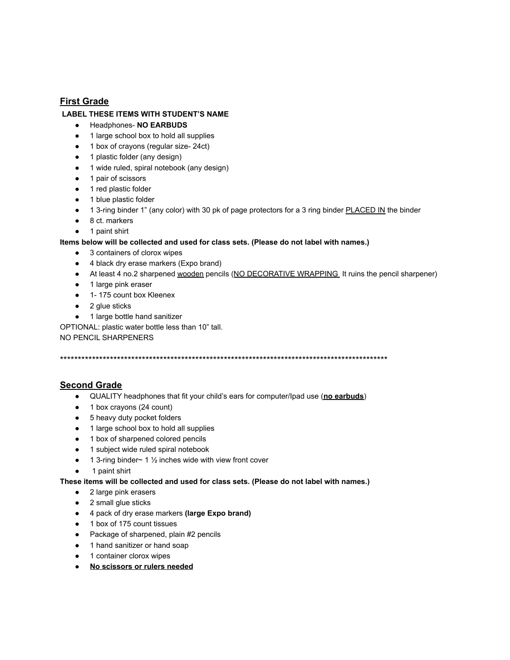## **First Grade**

### **LABEL THESE ITEMS WITH STUDENT'S NAME**

- Headphones- **NO EARBUDS**
- 1 large school box to hold all supplies
- 1 box of crayons (regular size- 24ct)
- 1 plastic folder (any design)
- 1 wide ruled, spiral notebook (any design)
- 1 pair of scissors
- 1 red plastic folder
- 1 blue plastic folder
- 1 3-ring binder 1" (any color) with 30 pk of page protectors for a 3 ring binder PLACED IN the binder
- 8 ct. markers
- 1 paint shirt

#### **Items below will be collected and used for class sets. (Please do not label with names.)**

- 3 containers of clorox wipes
- 4 black dry erase markers (Expo brand)
- At least 4 no.2 sharpened wooden pencils (NO DECORATIVE WRAPPING It ruins the pencil sharpener)
- 1 large pink eraser
- 1- 175 count box Kleenex
- 2 glue sticks
- 1 large bottle hand sanitizer

OPTIONAL: plastic water bottle less than 10" tall.

NO PENCIL SHARPENERS

\*\*\*\*\*\*\*\*\*\*\*\*\*\*\*\*\*\*\*\*\*\*\*\*\*\*\*\*\*\*\*\*\*\*\*\*\*\*\*\*\*\*\*\*\*\*\*\*\*\*\*\*\*\*\*\*\*\*\*\*\*\*\*\*\*\*\*\*\*\*\*\*\*\*\*\*\*\*\*\*\*\*\*\*\*\*\*\*\*\*\*\*

## **Second Grade**

- QUALITY headphones that fit your child's ears for computer/Ipad use (**no earbuds**)
- 1 box crayons (24 count)
- 5 heavy duty pocket folders
- 1 large school box to hold all supplies
- 1 box of sharpened colored pencils
- 1 subject wide ruled spiral notebook
- $\bullet$  1 3-ring binder~ 1  $\frac{1}{2}$  inches wide with view front cover
- 1 paint shirt

#### **These items will be collected and used for class sets. (Please do not label with names.)**

- 2 large pink erasers
- 2 small glue sticks
- 4 pack of dry erase markers **(large Expo brand)**
- 1 box of 175 count tissues
- Package of sharpened, plain #2 pencils
- 1 hand sanitizer or hand soap
- 1 container clorox wipes
- **No scissors or rulers needed**